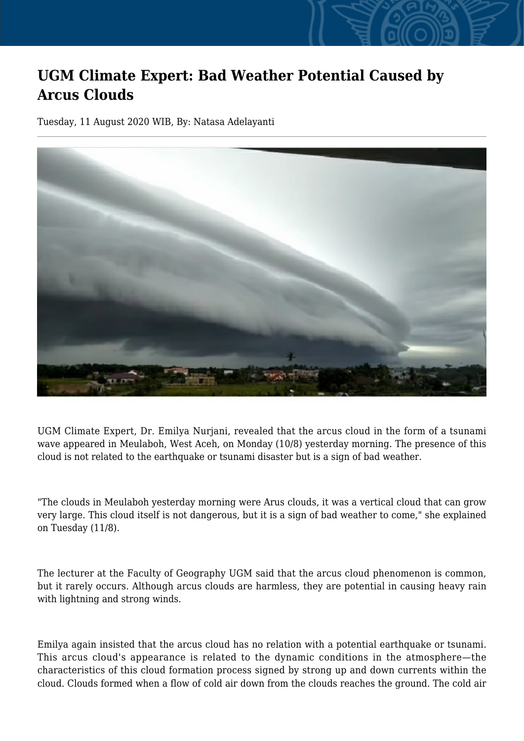## **UGM Climate Expert: Bad Weather Potential Caused by Arcus Clouds**

Tuesday, 11 August 2020 WIB, By: Natasa Adelayanti



UGM Climate Expert, Dr. Emilya Nurjani, revealed that the arcus cloud in the form of a tsunami wave appeared in Meulaboh, West Aceh, on Monday (10/8) yesterday morning. The presence of this cloud is not related to the earthquake or tsunami disaster but is a sign of bad weather.

"The clouds in Meulaboh yesterday morning were Arus clouds, it was a vertical cloud that can grow very large. This cloud itself is not dangerous, but it is a sign of bad weather to come," she explained on Tuesday (11/8).

The lecturer at the Faculty of Geography UGM said that the arcus cloud phenomenon is common, but it rarely occurs. Although arcus clouds are harmless, they are potential in causing heavy rain with lightning and strong winds.

Emilya again insisted that the arcus cloud has no relation with a potential earthquake or tsunami. This arcus cloud's appearance is related to the dynamic conditions in the atmosphere—the characteristics of this cloud formation process signed by strong up and down currents within the cloud. Clouds formed when a flow of cold air down from the clouds reaches the ground. The cold air